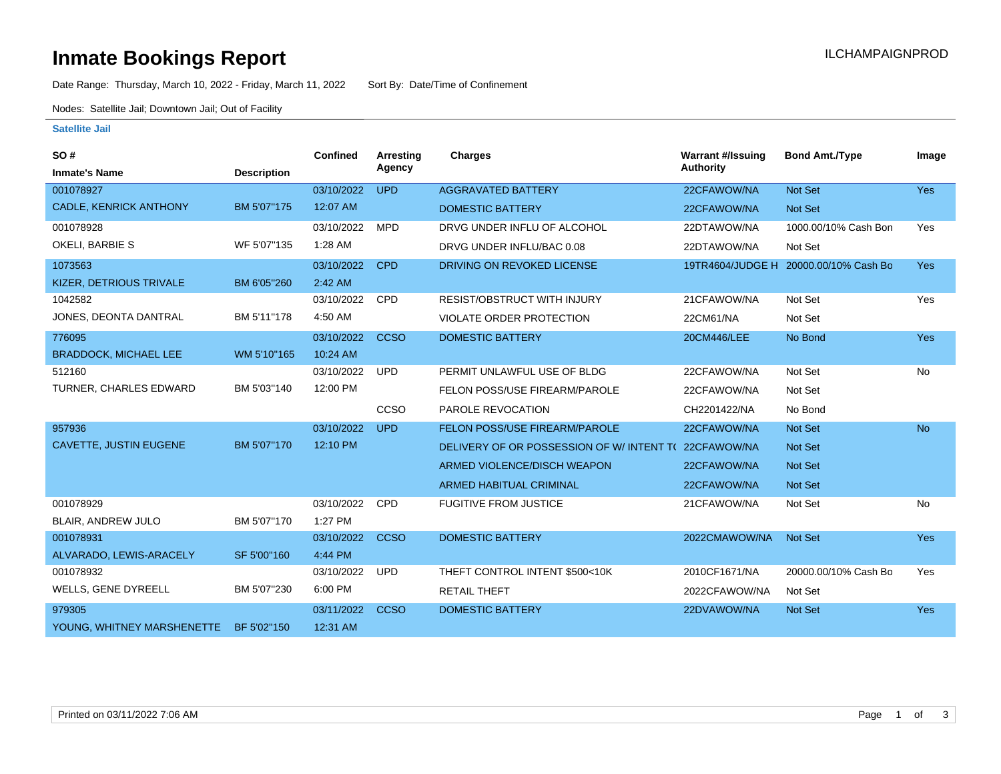# **Inmate Bookings Report Installation Control Control Control Control Control Control Control Control Control Control Control Control Control Control Control Control Control Control Control Control Control Control Control**

Date Range: Thursday, March 10, 2022 - Friday, March 11, 2022 Sort By: Date/Time of Confinement

Nodes: Satellite Jail; Downtown Jail; Out of Facility

#### **Satellite Jail**

| SO#                           |                    | Confined   | Arresting   | <b>Charges</b>                           | <b>Warrant #/Issuing</b> | <b>Bond Amt./Type</b>                 | Image      |
|-------------------------------|--------------------|------------|-------------|------------------------------------------|--------------------------|---------------------------------------|------------|
| <b>Inmate's Name</b>          | <b>Description</b> |            | Agency      |                                          | <b>Authority</b>         |                                       |            |
| 001078927                     |                    | 03/10/2022 | <b>UPD</b>  | <b>AGGRAVATED BATTERY</b>                | 22CFAWOW/NA              | Not Set                               | <b>Yes</b> |
| CADLE, KENRICK ANTHONY        | BM 5'07"175        | 12:07 AM   |             | <b>DOMESTIC BATTERY</b>                  | 22CFAWOW/NA              | Not Set                               |            |
| 001078928                     |                    | 03/10/2022 | <b>MPD</b>  | DRVG UNDER INFLU OF ALCOHOL              | 22DTAWOW/NA              | 1000.00/10% Cash Bon                  | Yes        |
| OKELI, BARBIE S               | WF 5'07"135        | 1:28 AM    |             | DRVG UNDER INFLU/BAC 0.08                | 22DTAWOW/NA              | Not Set                               |            |
| 1073563                       |                    | 03/10/2022 | <b>CPD</b>  | DRIVING ON REVOKED LICENSE               |                          | 19TR4604/JUDGE H 20000.00/10% Cash Bo | <b>Yes</b> |
| KIZER, DETRIOUS TRIVALE       | BM 6'05"260        | 2:42 AM    |             |                                          |                          |                                       |            |
| 1042582                       |                    | 03/10/2022 | <b>CPD</b>  | <b>RESIST/OBSTRUCT WITH INJURY</b>       | 21CFAWOW/NA              | Not Set                               | Yes        |
| JONES, DEONTA DANTRAL         | BM 5'11"178        | 4:50 AM    |             | <b>VIOLATE ORDER PROTECTION</b>          | 22CM61/NA                | Not Set                               |            |
| 776095                        |                    | 03/10/2022 | <b>CCSO</b> | <b>DOMESTIC BATTERY</b>                  | 20CM446/LEE              | No Bond                               | Yes        |
| <b>BRADDOCK, MICHAEL LEE</b>  | WM 5'10"165        | 10:24 AM   |             |                                          |                          |                                       |            |
| 512160                        |                    | 03/10/2022 | <b>UPD</b>  | PERMIT UNLAWFUL USE OF BLDG              | 22CFAWOW/NA              | Not Set                               | No         |
| TURNER, CHARLES EDWARD        | BM 5'03"140        | 12:00 PM   |             | FELON POSS/USE FIREARM/PAROLE            | 22CFAWOW/NA              | Not Set                               |            |
|                               |                    |            | CCSO        | PAROLE REVOCATION                        | CH2201422/NA             | No Bond                               |            |
| 957936                        |                    | 03/10/2022 | <b>UPD</b>  | <b>FELON POSS/USE FIREARM/PAROLE</b>     | 22CFAWOW/NA              | Not Set                               | <b>No</b>  |
| <b>CAVETTE, JUSTIN EUGENE</b> | BM 5'07"170        | 12:10 PM   |             | DELIVERY OF OR POSSESSION OF W/INTENT TO | 22CFAWOW/NA              | <b>Not Set</b>                        |            |
|                               |                    |            |             | ARMED VIOLENCE/DISCH WEAPON              | 22CFAWOW/NA              | Not Set                               |            |
|                               |                    |            |             | <b>ARMED HABITUAL CRIMINAL</b>           | 22CFAWOW/NA              | Not Set                               |            |
| 001078929                     |                    | 03/10/2022 | CPD         | <b>FUGITIVE FROM JUSTICE</b>             | 21CFAWOW/NA              | Not Set                               | <b>No</b>  |
| BLAIR, ANDREW JULO            | BM 5'07"170        | 1:27 PM    |             |                                          |                          |                                       |            |
| 001078931                     |                    | 03/10/2022 | <b>CCSO</b> | <b>DOMESTIC BATTERY</b>                  | 2022CMAWOW/NA            | Not Set                               | Yes        |
| ALVARADO, LEWIS-ARACELY       | SF 5'00"160        | 4:44 PM    |             |                                          |                          |                                       |            |
| 001078932                     |                    | 03/10/2022 | <b>UPD</b>  | THEFT CONTROL INTENT \$500<10K           | 2010CF1671/NA            | 20000.00/10% Cash Bo                  | Yes        |
| WELLS, GENE DYREELL           | BM 5'07"230        | 6:00 PM    |             | <b>RETAIL THEFT</b>                      | 2022CFAWOW/NA            | Not Set                               |            |
| 979305                        |                    | 03/11/2022 | <b>CCSO</b> | <b>DOMESTIC BATTERY</b>                  | 22DVAWOW/NA              | Not Set                               | Yes        |
| YOUNG, WHITNEY MARSHENETTE    | BF 5'02"150        | 12:31 AM   |             |                                          |                          |                                       |            |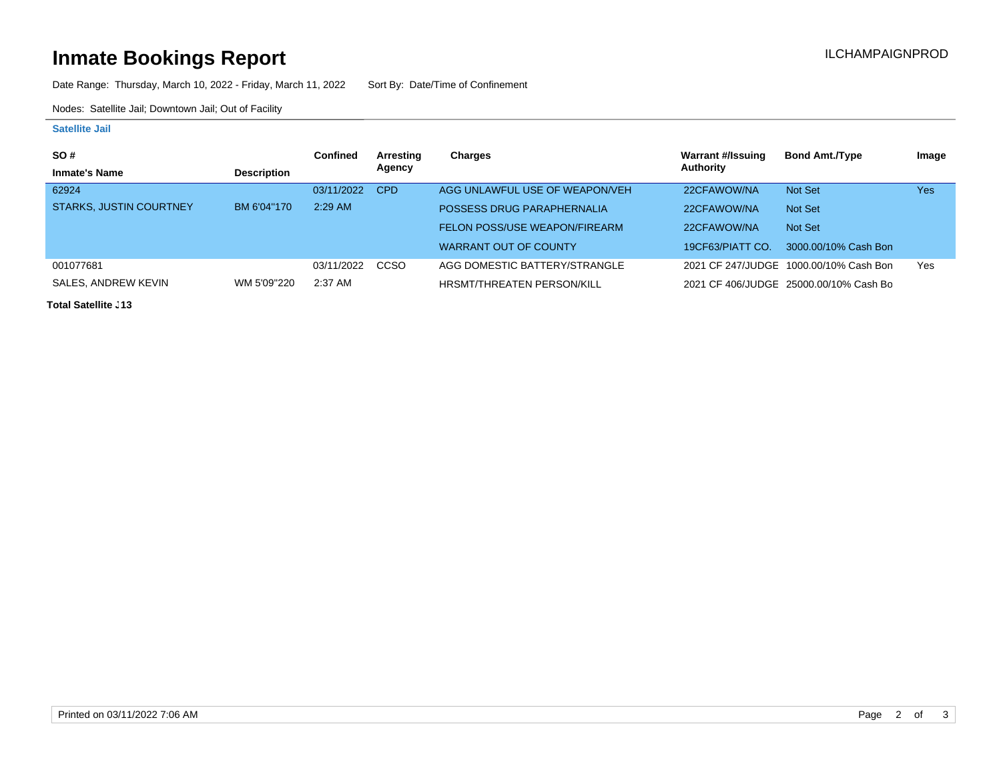# **Inmate Bookings Report Inmate Bookings Report**

Date Range: Thursday, March 10, 2022 - Friday, March 11, 2022 Sort By: Date/Time of Confinement

Nodes: Satellite Jail; Downtown Jail; Out of Facility

### **Satellite Jail**

| SO#                            |                    | <b>Confined</b> | Arresting  | Charges                           | Warrant #/Issuing | <b>Bond Amt./Type</b>                  | Image |
|--------------------------------|--------------------|-----------------|------------|-----------------------------------|-------------------|----------------------------------------|-------|
| <b>Inmate's Name</b>           | <b>Description</b> |                 | Agency     |                                   | Authority         |                                        |       |
| 62924                          |                    | 03/11/2022      | <b>CPD</b> | AGG UNLAWFUL USE OF WEAPON/VEH    | 22CFAWOW/NA       | Not Set                                | Yes   |
| <b>STARKS, JUSTIN COURTNEY</b> | BM 6'04"170        | $2:29$ AM       |            | POSSESS DRUG PARAPHERNALIA        | 22CFAWOW/NA       | Not Set                                |       |
|                                |                    |                 |            | FELON POSS/USE WEAPON/FIREARM     | 22CFAWOW/NA       | Not Set                                |       |
|                                |                    |                 |            | WARRANT OUT OF COUNTY             | 19CF63/PIATT CO.  | 3000.00/10% Cash Bon                   |       |
| 001077681                      |                    | 03/11/2022      | CCSO       | AGG DOMESTIC BATTERY/STRANGLE     |                   | 2021 CF 247/JUDGE 1000.00/10% Cash Bon | Yes   |
| SALES, ANDREW KEVIN            | WM 5'09"220        | $2:37$ AM       |            | <b>HRSMT/THREATEN PERSON/KILL</b> |                   | 2021 CF 406/JUDGE 25000.00/10% Cash Bo |       |

**Total Satellite J13**